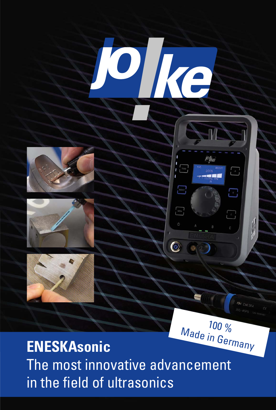







jolke

 $\frac{1}{2}$ 

 $\begin{bmatrix} 1 \\ 2 \end{bmatrix}$ 

 $\int$  TUNE

**BBDST** 

 $\begin{bmatrix} \mathbf{M} \\ \mathbf{M} \end{bmatrix}$ 

 $\odot$ 

## **ENESKAsonic** The most innovative advancement in the field of ultrasonics

Oke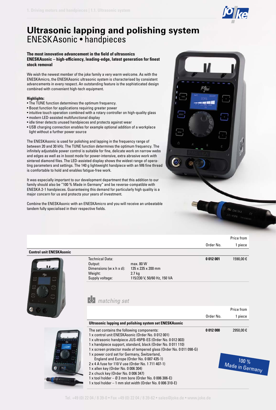

100 % Made in Germany

## **Ultrasonic lapping and polishing system** ENESKAsonic • handpieces

### **The most innovative advancement in the field of ultrasonics ENESKAsonic – high-efficiency, leading-edge, latest generation for finest stock removal**

We wish the newest member of the joke family a very warm welcome. As with the ENESKAmicro, the ENESKAsonic ultrasonic system is characterised by consistent advancements in every respect. An outstanding feature is the sophisticated design combined with convenient high-tech equipment.

#### **Highlights:**

- The TUNE function determines the optimum frequency.
- Boost function for applications requiring greater power
- intuitive touch operation combined with a rotary controller on high-quality glass
- modern LED-assisted multifunctional display
- idle timer detects unused handpieces and protects against wear
- USB charging connection enables for example optional addition of a workplace light without a further power source

The ENESKAsonic is used for polishing and lapping in the frequency range of between 20 and 30 kHz. The TUNE function determines the optimum frequency. The infinitely adjustable power control is suitable for fine, delicate work on narrow webs and edges as well as in boost mode for power-intensive, extra abrasive work with sintered diamond files. The LED-assisted display shows the widest range of operating parameters and settings. The 140 g lightweight handpiece with an M6 fine thread is comfortable to hold and enables fatigue-free work.

It was especially important to our development department that this addition to our family should also be "100 % Made in Germany" and be reverse-compatible with ENESKA 2-1 handpieces. Guaranteeing this demand for particularly high quality is a major concern for us and protects your years of investment.

Combine the ENESKAsonic with an ENESKAmicro and you will receive an unbeatable tandem fully specialised in their respective fields.



## Order No. Price from 1 piece **Control unit ENESKAsonic** Technical Data: Output: max. 80 W Dimensions (w x h x d):  $135 \times 235 \times 200 \text{ mm}$ <br>Weight: 2.7 kg Weight: Supply voltage: 115/230 V, 50/60 Hz, 150 VA **0 012 001** 1590,00 € Order No. Price from 1 piece **Ultrasonic lapping and polishing system set ENESKAsonic** The set contains the following components: 1 x control unit ENESKAsonic (Order No. 0 012 001) 1 x ultrasonic handpiece JUS-45PB-ES (Order No. 0 012 003) 1 x handpiece support, standard, black (Order No. 0 011 110) 1 x screen protector made of tempered glass (Order No. 0 011 098-G) 1 x power cord set for Germany, Switzerland, **0 012 000** 2950,00 € *matching set*

Tel. +49 (0) 22 04 / 8 39-0 • Fax +49 (0) 22 04 / 8 39-62 • sales@joke.de • www.joke.de

England and Europe (Order No. 0 007 435-1) 2 x 4 A fuse for 110 V use (Order No. 1 711 407-1)

1 x tool holder – Ø 3 mm bore (Order No. 0 006 306-E) 1 x tool holder – 1 mm slot width (Order No. 0 006 310-E)

1 x allen key (Order No. 0 006 304) 2 x chuck key (Order No. 0 006 347)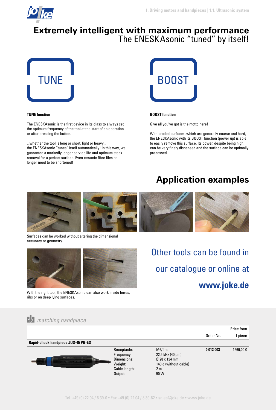

## **Extremely intelligent with maximum performance**  The ENESKAsonic "tuned" by itself!



#### **TUNE function**

The ENESKAsonic is the first device in its class to always set the optimum frequency of the tool at the start of an operation or after pressing the button.

...whether the tool is long or short, light or heavy... the ENESKAsonic "tunes" itself automatically! In this way, we guarantee a markedly longer service life and optimum stock removal for a perfect surface. Even ceramic fibre files no longer need to be shortened!



#### **BOOST function**

Give all you've got is the motto here!

With eroded surfaces, which are generally coarse and hard, the ENESKAsonic with its BOOST function (power up) is able to easily remove this surface. Its power, despite being high, can be very finely dispensed and the surface can be optimally processed.

## **Application examples**



Surfaces can be worked without altering the dimensional accuracy or geometry.



With the right tool, the ENESKAsonic can also work inside bores, ribs or on deep lying surfaces.

Other tools can be found in our catalogue or online at **www.joke.de**